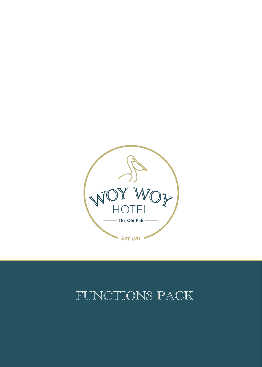![](_page_0_Picture_0.jpeg)

# FUNCTIONS PACK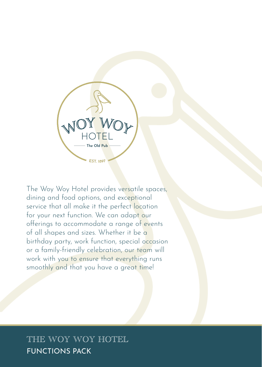![](_page_1_Picture_0.jpeg)

The Woy Woy Hotel provides versatile spaces, dining and food options, and exceptional service that all make it the perfect location for your next function. We can adapt our offerings to accommodate a range of events of all shapes and sizes. Whether it be a birthday party, work function, special occasion or a family-friendly celebration, our team will work with you to ensure that everything runs smoothly and that you have a great time!

# FUNCTIONS PACK THE WOY WOY HOTEL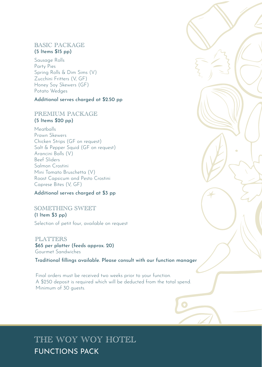### BASIC PACKAGE (5 Items \$15 pp)

Sausage Rolls Party Pies Spring Rolls & Dim Sims (V) Zucchini Fritters (V, GF) Honey Soy Skewers (GF) Potato Wedges

### Additional serves charged at \$2.50 pp

### PREMIUM PACKAGE (5 Items \$20 pp)

Meatballs Prawn Skewers Chicken Strips (GF on request) Salt & Pepper Squid (GF on request) Arancini Balls (V) Beef Sliders Salmon Crostini Mini Tomato Bruschetta (V) Roast Capsicum and Pesto Crostini Caprese Bites (V, GF)

#### Additional serves charged at \$3 pp

#### SOMETHING SWEET (1 Item \$3 pp)

Selection of petit four, available on request

#### PLATTERS

\$65 per platter (feeds approx. 20) Gourmet Sandwiches

Traditional fillings available. Please consult with our function manager

Final orders must be received two weeks prior to your function. A \$250 deposit is required which will be deducted from the total spend. Minimum of 30 guests.

# FUNCTIONS PACK THE WOY WOY HOTEL